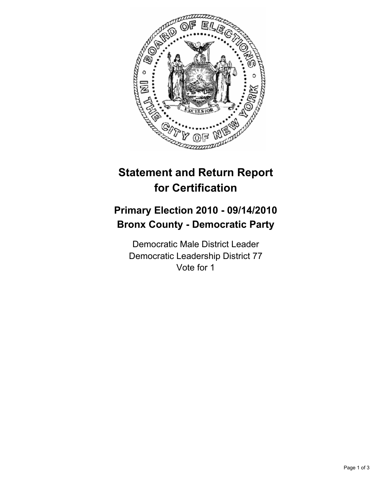

## **Statement and Return Report for Certification**

## **Primary Election 2010 - 09/14/2010 Bronx County - Democratic Party**

Democratic Male District Leader Democratic Leadership District 77 Vote for 1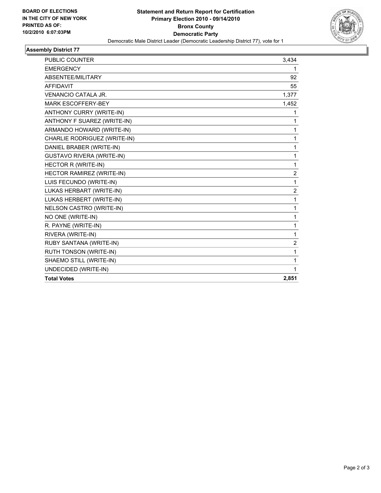

## **Assembly District 77**

| <b>PUBLIC COUNTER</b>            | 3,434            |
|----------------------------------|------------------|
| <b>EMERGENCY</b>                 | 1                |
| ABSENTEE/MILITARY                | 92               |
| <b>AFFIDAVIT</b>                 | 55               |
| <b>VENANCIO CATALA JR.</b>       | 1,377            |
| <b>MARK ESCOFFERY-BEY</b>        | 1,452            |
| ANTHONY CURRY (WRITE-IN)         | 1                |
| ANTHONY F SUAREZ (WRITE-IN)      | 1                |
| ARMANDO HOWARD (WRITE-IN)        | 1                |
| CHARLIE RODRIGUEZ (WRITE-IN)     | 1                |
| DANIEL BRABER (WRITE-IN)         | 1                |
| <b>GUSTAVO RIVERA (WRITE-IN)</b> | 1                |
| <b>HECTOR R (WRITE-IN)</b>       | 1                |
| HECTOR RAMIREZ (WRITE-IN)        | $\boldsymbol{2}$ |
| LUIS FECUNDO (WRITE-IN)          | 1                |
| LUKAS HERBART (WRITE-IN)         | 2                |
| LUKAS HERBERT (WRITE-IN)         | 1                |
| NELSON CASTRO (WRITE-IN)         | 1                |
| NO ONE (WRITE-IN)                | 1                |
| R. PAYNE (WRITE-IN)              | 1                |
| RIVERA (WRITE-IN)                | 1                |
| RUBY SANTANA (WRITE-IN)          | 2                |
| RUTH TONSON (WRITE-IN)           | 1                |
| SHAEMO STILL (WRITE-IN)          | 1                |
| UNDECIDED (WRITE-IN)             | 1                |
| <b>Total Votes</b>               | 2,851            |